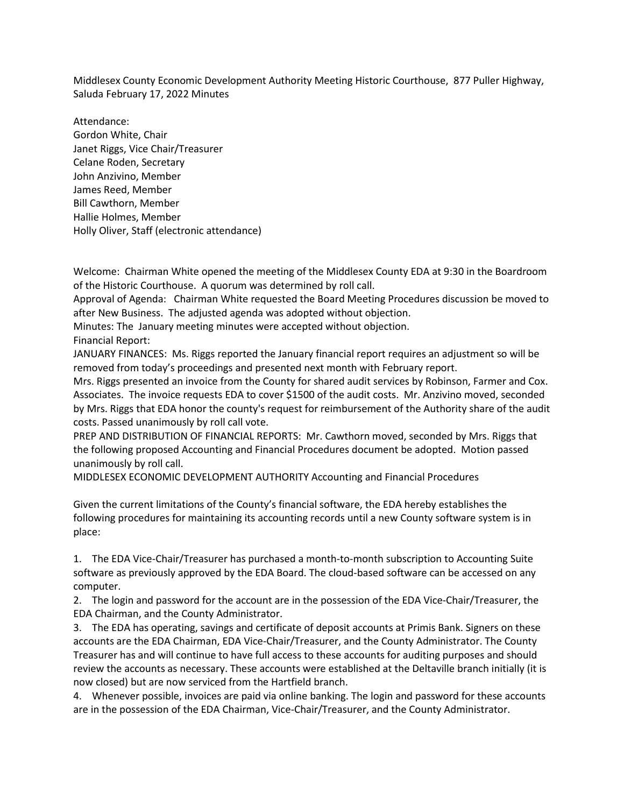Middlesex County Economic Development Authority Meeting Historic Courthouse, 877 Puller Highway, Saluda February 17, 2022 Minutes

Attendance: Gordon White, Chair Janet Riggs, Vice Chair/Treasurer Celane Roden, Secretary John Anzivino, Member James Reed, Member Bill Cawthorn, Member Hallie Holmes, Member Holly Oliver, Staff (electronic attendance)

Welcome: Chairman White opened the meeting of the Middlesex County EDA at 9:30 in the Boardroom of the Historic Courthouse. A quorum was determined by roll call.

Approval of Agenda: Chairman White requested the Board Meeting Procedures discussion be moved to after New Business. The adjusted agenda was adopted without objection.

Minutes: The January meeting minutes were accepted without objection.

Financial Report:

JANUARY FINANCES: Ms. Riggs reported the January financial report requires an adjustment so will be removed from today's proceedings and presented next month with February report.

Mrs. Riggs presented an invoice from the County for shared audit services by Robinson, Farmer and Cox. Associates. The invoice requests EDA to cover \$1500 of the audit costs. Mr. Anzivino moved, seconded by Mrs. Riggs that EDA honor the county's request for reimbursement of the Authority share of the audit costs. Passed unanimously by roll call vote.

PREP AND DISTRIBUTION OF FINANCIAL REPORTS: Mr. Cawthorn moved, seconded by Mrs. Riggs that the following proposed Accounting and Financial Procedures document be adopted. Motion passed unanimously by roll call.

MIDDLESEX ECONOMIC DEVELOPMENT AUTHORITY Accounting and Financial Procedures

Given the current limitations of the County's financial software, the EDA hereby establishes the following procedures for maintaining its accounting records until a new County software system is in place:

1. The EDA Vice-Chair/Treasurer has purchased a month-to-month subscription to Accounting Suite software as previously approved by the EDA Board. The cloud-based software can be accessed on any computer.

2. The login and password for the account are in the possession of the EDA Vice-Chair/Treasurer, the EDA Chairman, and the County Administrator.

3. The EDA has operating, savings and certificate of deposit accounts at Primis Bank. Signers on these accounts are the EDA Chairman, EDA Vice-Chair/Treasurer, and the County Administrator. The County Treasurer has and will continue to have full access to these accounts for auditing purposes and should review the accounts as necessary. These accounts were established at the Deltaville branch initially (it is now closed) but are now serviced from the Hartfield branch.

4. Whenever possible, invoices are paid via online banking. The login and password for these accounts are in the possession of the EDA Chairman, Vice-Chair/Treasurer, and the County Administrator.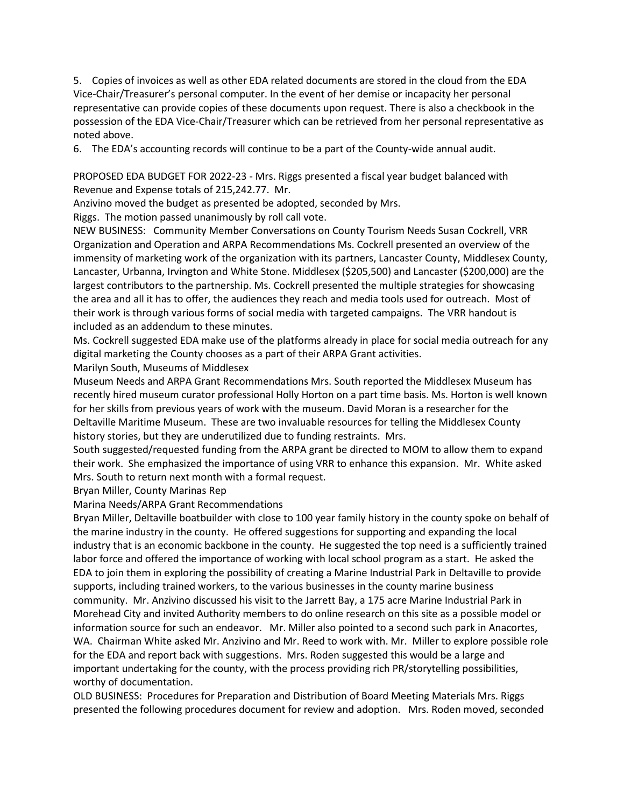5. Copies of invoices as well as other EDA related documents are stored in the cloud from the EDA Vice-Chair/Treasurer's personal computer. In the event of her demise or incapacity her personal representative can provide copies of these documents upon request. There is also a checkbook in the possession of the EDA Vice-Chair/Treasurer which can be retrieved from her personal representative as noted above.

6. The EDA's accounting records will continue to be a part of the County-wide annual audit.

PROPOSED EDA BUDGET FOR 2022-23 - Mrs. Riggs presented a fiscal year budget balanced with Revenue and Expense totals of 215,242.77. Mr.

Anzivino moved the budget as presented be adopted, seconded by Mrs.

Riggs. The motion passed unanimously by roll call vote.

NEW BUSINESS: Community Member Conversations on County Tourism Needs Susan Cockrell, VRR Organization and Operation and ARPA Recommendations Ms. Cockrell presented an overview of the immensity of marketing work of the organization with its partners, Lancaster County, Middlesex County, Lancaster, Urbanna, Irvington and White Stone. Middlesex (\$205,500) and Lancaster (\$200,000) are the largest contributors to the partnership. Ms. Cockrell presented the multiple strategies for showcasing the area and all it has to offer, the audiences they reach and media tools used for outreach. Most of their work is through various forms of social media with targeted campaigns. The VRR handout is included as an addendum to these minutes.

Ms. Cockrell suggested EDA make use of the platforms already in place for social media outreach for any digital marketing the County chooses as a part of their ARPA Grant activities.

Marilyn South, Museums of Middlesex

Museum Needs and ARPA Grant Recommendations Mrs. South reported the Middlesex Museum has recently hired museum curator professional Holly Horton on a part time basis. Ms. Horton is well known for her skills from previous years of work with the museum. David Moran is a researcher for the Deltaville Maritime Museum. These are two invaluable resources for telling the Middlesex County history stories, but they are underutilized due to funding restraints. Mrs.

South suggested/requested funding from the ARPA grant be directed to MOM to allow them to expand their work. She emphasized the importance of using VRR to enhance this expansion. Mr. White asked Mrs. South to return next month with a formal request.

Bryan Miller, County Marinas Rep

Marina Needs/ARPA Grant Recommendations

Bryan Miller, Deltaville boatbuilder with close to 100 year family history in the county spoke on behalf of the marine industry in the county. He offered suggestions for supporting and expanding the local industry that is an economic backbone in the county. He suggested the top need is a sufficiently trained labor force and offered the importance of working with local school program as a start. He asked the EDA to join them in exploring the possibility of creating a Marine Industrial Park in Deltaville to provide supports, including trained workers, to the various businesses in the county marine business community. Mr. Anzivino discussed his visit to the Jarrett Bay, a 175 acre Marine Industrial Park in Morehead City and invited Authority members to do online research on this site as a possible model or information source for such an endeavor. Mr. Miller also pointed to a second such park in Anacortes, WA. Chairman White asked Mr. Anzivino and Mr. Reed to work with. Mr. Miller to explore possible role for the EDA and report back with suggestions. Mrs. Roden suggested this would be a large and important undertaking for the county, with the process providing rich PR/storytelling possibilities, worthy of documentation.

OLD BUSINESS: Procedures for Preparation and Distribution of Board Meeting Materials Mrs. Riggs presented the following procedures document for review and adoption. Mrs. Roden moved, seconded